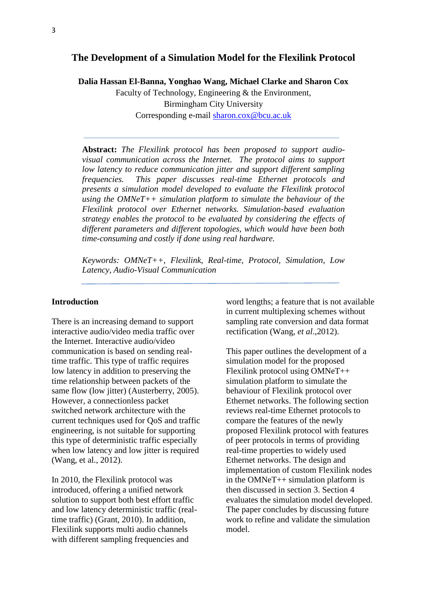# **The Development of a Simulation Model for the Flexilink Protocol**

**Dalia Hassan El-Banna, Yonghao Wang, Michael Clarke and Sharon Cox**

Faculty of Technology, Engineering & the Environment, Birmingham City University Corresponding e-mail [sharon.cox@bcu.ac.uk](mailto:sharon.cox@bcu.ac.uk)

**Abstract:** *The Flexilink protocol has been proposed to support audiovisual communication across the Internet. The protocol aims to support low latency to reduce communication jitter and support different sampling frequencies. This paper discusses real-time Ethernet protocols and presents a simulation model developed to evaluate the Flexilink protocol using the OMNeT++ simulation platform to simulate the behaviour of the Flexilink protocol over Ethernet networks. Simulation-based evaluation strategy enables the protocol to be evaluated by considering the effects of different parameters and different topologies, which would have been both time-consuming and costly if done using real hardware.*

*Keywords: OMNeT++, Flexilink, Real-time, Protocol, Simulation, Low Latency, Audio-Visual Communication*

#### **Introduction**

There is an increasing demand to support interactive audio/video media traffic over the Internet. Interactive audio/video communication is based on sending realtime traffic. This type of traffic requires low latency in addition to preserving the time relationship between packets of the same flow (low jitter) (Austerberry, 2005). However, a connectionless packet switched network architecture with the current techniques used for QoS and traffic engineering, is not suitable for supporting this type of deterministic traffic especially when low latency and low jitter is required (Wang, et al., 2012).

In 2010, the Flexilink protocol was introduced, offering a unified network solution to support both best effort traffic and low latency deterministic traffic (realtime traffic) (Grant, 2010). In addition, Flexilink supports multi audio channels with different sampling frequencies and

word lengths; a feature that is not available in current multiplexing schemes without sampling rate conversion and data format rectification (Wang, *et al*.,2012).

This paper outlines the development of a simulation model for the proposed Flexilink protocol using OMNeT++ simulation platform to simulate the behaviour of Flexilink protocol over Ethernet networks. The following section reviews real-time Ethernet protocols to compare the features of the newly proposed Flexilink protocol with features of peer protocols in terms of providing real-time properties to widely used Ethernet networks. The design and implementation of custom Flexilink nodes in the OMNeT++ simulation platform is then discussed in section 3. Section 4 evaluates the simulation model developed. The paper concludes by discussing future work to refine and validate the simulation model.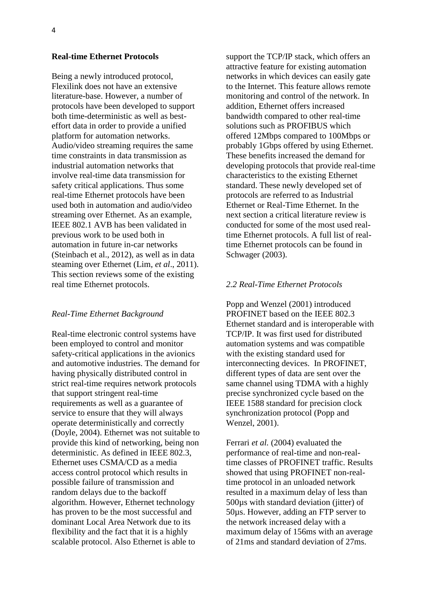#### **Real-time Ethernet Protocols**

Being a newly introduced protocol, Flexilink does not have an extensive literature-base. However, a number of protocols have been developed to support both time-deterministic as well as besteffort data in order to provide a unified platform for automation networks. Audio/video streaming requires the same time constraints in data transmission as industrial automation networks that involve real-time data transmission for safety critical applications. Thus some real-time Ethernet protocols have been used both in automation and audio/video streaming over Ethernet. As an example, IEEE 802.1 AVB has been validated in previous work to be used both in automation in future in-car networks (Steinbach et al., 2012), as well as in data steaming over Ethernet (Lim, *et al*., 2011). This section reviews some of the existing real time Ethernet protocols.

#### *Real-Time Ethernet Background*

Real-time electronic control systems have been employed to control and monitor safety-critical applications in the avionics and automotive industries. The demand for having physically distributed control in strict real-time requires network protocols that support stringent real-time requirements as well as a guarantee of service to ensure that they will always operate deterministically and correctly (Doyle, 2004). Ethernet was not suitable to provide this kind of networking, being non deterministic. As defined in IEEE 802.3, Ethernet uses CSMA/CD as a media access control protocol which results in possible failure of transmission and random delays due to the backoff algorithm. However, Ethernet technology has proven to be the most successful and dominant Local Area Network due to its flexibility and the fact that it is a highly scalable protocol. Also Ethernet is able to

support the TCP/IP stack, which offers an attractive feature for existing automation networks in which devices can easily gate to the Internet. This feature allows remote monitoring and control of the network. In addition, Ethernet offers increased bandwidth compared to other real-time solutions such as PROFIBUS which offered 12Mbps compared to 100Mbps or probably 1Gbps offered by using Ethernet. These benefits increased the demand for developing protocols that provide real-time characteristics to the existing Ethernet standard. These newly developed set of protocols are referred to as Industrial Ethernet or Real-Time Ethernet. In the next section a critical literature review is conducted for some of the most used realtime Ethernet protocols. A full list of realtime Ethernet protocols can be found in Schwager (2003).

#### *2.2 Real-Time Ethernet Protocols*

Popp and Wenzel (2001) introduced PROFINET based on the IEEE 802.3 Ethernet standard and is interoperable with TCP/IP. It was first used for distributed automation systems and was compatible with the existing standard used for interconnecting devices. In PROFINET, different types of data are sent over the same channel using TDMA with a highly precise synchronized cycle based on the IEEE 1588 standard for precision clock synchronization protocol (Popp and Wenzel, 2001).

Ferrari *et al.* (2004) evaluated the performance of real-time and non-realtime classes of PROFINET traffic. Results showed that using PROFINET non-realtime protocol in an unloaded network resulted in a maximum delay of less than 500µs with standard deviation (jitter) of 50µs. However, adding an FTP server to the network increased delay with a maximum delay of 156ms with an average of 21ms and standard deviation of 27ms.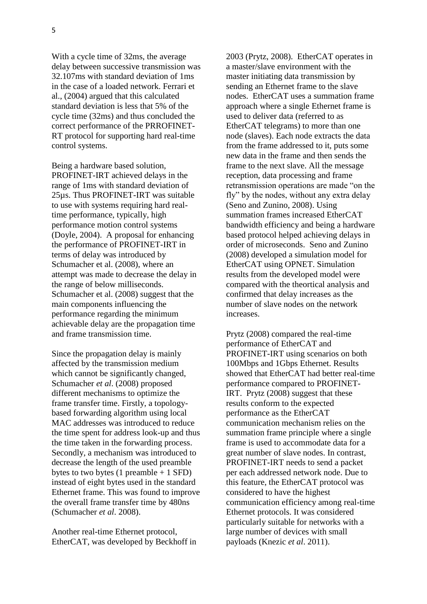With a cycle time of 32ms, the average delay between successive transmission was 32.107ms with standard deviation of 1ms in the case of a loaded network. Ferrari et al., (2004) argued that this calculated standard deviation is less that 5% of the cycle time (32ms) and thus concluded the correct performance of the PRROFINET-RT protocol for supporting hard real-time control systems.

Being a hardware based solution, PROFINET-IRT achieved delays in the range of 1ms with standard deviation of 25µs. Thus PROFINET-IRT was suitable to use with systems requiring hard realtime performance, typically, high performance motion control systems (Doyle, 2004). A proposal for enhancing the performance of PROFINET-IRT in terms of delay was introduced by Schumacher et al. (2008), where an attempt was made to decrease the delay in the range of below milliseconds. Schumacher et al. (2008) suggest that the main components influencing the performance regarding the minimum achievable delay are the propagation time and frame transmission time.

Since the propagation delay is mainly affected by the transmission medium which cannot be significantly changed, Schumacher *et al*. (2008) proposed different mechanisms to optimize the frame transfer time. Firstly, a topologybased forwarding algorithm using local MAC addresses was introduced to reduce the time spent for address look-up and thus the time taken in the forwarding process. Secondly, a mechanism was introduced to decrease the length of the used preamble bytes to two bytes  $(1$  preamble  $+ 1$  SFD) instead of eight bytes used in the standard Ethernet frame. This was found to improve the overall frame transfer time by 480ns (Schumacher *et al*. 2008).

Another real-time Ethernet protocol, EtherCAT, was developed by Beckhoff in 2003 (Prytz, 2008). EtherCAT operates in a master/slave environment with the master initiating data transmission by sending an Ethernet frame to the slave nodes. EtherCAT uses a summation frame approach where a single Ethernet frame is used to deliver data (referred to as EtherCAT telegrams) to more than one node (slaves). Each node extracts the data from the frame addressed to it, puts some new data in the frame and then sends the frame to the next slave. All the message reception, data processing and frame retransmission operations are made "on the fly" by the nodes, without any extra delay (Seno and Zunino, 2008). Using summation frames increased EtherCAT bandwidth efficiency and being a hardware based protocol helped achieving delays in order of microseconds. Seno and Zunino (2008) developed a simulation model for EtherCAT using OPNET. Simulation results from the developed model were compared with the theortical analysis and confirmed that delay increases as the number of slave nodes on the network increases.

Prytz (2008) compared the real-time performance of EtherCAT and PROFINET-IRT using scenarios on both 100Mbps and 1Gbps Ethernet. Results showed that EtherCAT had better real-time performance compared to PROFINET-IRT. Prytz (2008) suggest that these results conform to the expected performance as the EtherCAT communication mechanism relies on the summation frame principle where a single frame is used to accommodate data for a great number of slave nodes. In contrast, PROFINET-IRT needs to send a packet per each addressed network node. Due to this feature, the EtherCAT protocol was considered to have the highest communication efficiency among real-time Ethernet protocols. It was considered particularly suitable for networks with a large number of devices with small payloads (Knezic *et al*. 2011).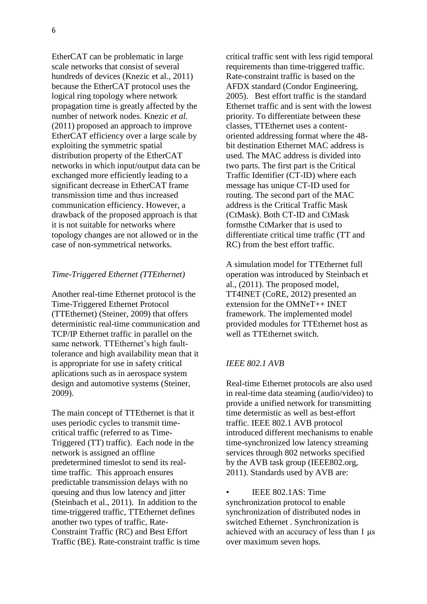EtherCAT can be problematic in large scale networks that consist of several hundreds of devices (Knezic et al., 2011) because the EtherCAT protocol uses the logical ring topology where network propagation time is greatly affected by the number of network nodes. Knezic *et al.* (2011) proposed an approach to improve EtherCAT efficiency over a large scale by exploiting the symmetric spatial distribution property of the EtherCAT networks in which input/output data can be exchanged more efficiently leading to a significant decrease in EtherCAT frame transmission time and thus increased communication efficiency. However, a drawback of the proposed approach is that it is not suitable for networks where topology changes are not allowed or in the case of non-symmetrical networks.

#### *Time-Triggered Ethernet (TTEthernet)*

Another real-time Ethernet protocol is the Time-Triggered Ethernet Protocol (TTEthernet) (Steiner, 2009) that offers deterministic real-time communication and TCP/IP Ethernet traffic in parallel on the same network. TTEthernet's high faulttolerance and high availability mean that it is appropriate for use in safety critical aplications such as in aerospace system design and automotive systems (Steiner, 2009).

The main concept of TTEthernet is that it uses periodic cycles to transmit timecritical traffic (referred to as Time-Triggered (TT) traffic). Each node in the network is assigned an offline predetermined timeslot to send its realtime traffic. This approach ensures predictable transmission delays with no queuing and thus low latency and jitter (Steinbach et al., 2011). In addition to the time-triggered traffic, TTEthernet defines another two types of traffic, Rate-Constraint Traffic (RC) and Best Effort Traffic (BE). Rate-constraint traffic is time critical traffic sent with less rigid temporal requirements than time-triggered traffic. Rate-constraint traffic is based on the AFDX standard (Condor Engineering, 2005). Best effort traffic is the standard Ethernet traffic and is sent with the lowest priority. To differentiate between these classes, TTEthernet uses a contentoriented addressing format where the 48 bit destination Ethernet MAC address is used. The MAC address is divided into two parts. The first part is the Critical Traffic Identifier (CT-ID) where each message has unique CT-ID used for routing. The second part of the MAC address is the Critical Traffic Mask (CtMask). Both CT-ID and CtMask formsthe CtMarker that is used to differentiate critical time traffic (TT and RC) from the best effort traffic.

A simulation model for TTEthernet full operation was introduced by Steinbach et al., (2011). The proposed model, TT4INET (CoRE, 2012) presented an extension for the OMNeT++ INET framework. The implemented model provided modules for TTEthernet host as well as TTEthernet switch.

### *IEEE 802.1 AVB*

Real-time Ethernet protocols are also used in real-time data steaming (audio/video) to provide a unified network for transmitting time determistic as well as best-effort traffic. IEEE 802.1 AVB protocol introduced different mechanisms to enable time-synchronized low latency streaming services through 802 networks specified by the AVB task group (IEEE802.org, 2011). Standards used by AVB are:

• IEEE 802.1AS: Time synchronization protocol to enable synchronization of distributed nodes in switched Ethernet . Synchronization is achieved with an accuracy of less than 1 μs over maximum seven hops.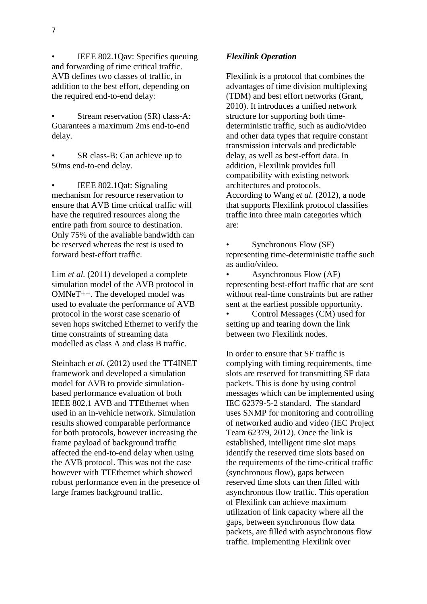IEEE 802.1Qav: Specifies queuing and forwarding of time critical traffic. AVB defines two classes of traffic, in addition to the best effort, depending on the required end-to-end delay:

Stream reservation (SR) class-A: Guarantees a maximum 2ms end-to-end delay.

SR class-B: Can achieve up to 50ms end-to-end delay.

• IEEE 802.1Qat: Signaling mechanism for resource reservation to ensure that AVB time critical traffic will have the required resources along the entire path from source to destination. Only 75% of the avaliable bandwidth can be reserved whereas the rest is used to forward best-effort traffic.

Lim *et al.* (2011) developed a complete simulation model of the AVB protocol in OMNeT++. The developed model was used to evaluate the performance of AVB protocol in the worst case scenario of seven hops switched Ethernet to verify the time constraints of streaming data modelled as class A and class B traffic.

Steinbach *et al.* (2012) used the TT4INET framework and developed a simulation model for AVB to provide simulationbased performance evaluation of both IEEE 802.1 AVB and TTEthernet when used in an in-vehicle network. Simulation results showed comparable performance for both protocols, however increasing the frame payload of background traffic affected the end-to-end delay when using the AVB protocol. This was not the case however with TTEthernet which showed robust performance even in the presence of large frames background traffic.

# *Flexilink Operation*

Flexilink is a protocol that combines the advantages of time division multiplexing (TDM) and best effort networks (Grant, 2010). It introduces a unified network structure for supporting both timedeterministic traffic, such as audio/video and other data types that require constant transmission intervals and predictable delay, as well as best-effort data. In addition, Flexilink provides full compatibility with existing network architectures and protocols. According to Wang *et al.* (2012), a node that supports Flexilink protocol classifies traffic into three main categories which are:

• Synchronous Flow (SF) representing time-deterministic traffic such as audio/video.

• Asynchronous Flow (AF) representing best-effort traffic that are sent without real-time constraints but are rather sent at the earliest possible opportunity.

• Control Messages (CM) used for setting up and tearing down the link between two Flexilink nodes.

In order to ensure that SF traffic is complying with timing requirements, time slots are reserved for transmitting SF data packets. This is done by using control messages which can be implemented using IEC 62379-5-2 standard. The standard uses SNMP for monitoring and controlling of networked audio and video (IEC Project Team 62379, 2012). Once the link is established, intelligent time slot maps identify the reserved time slots based on the requirements of the time-critical traffic (synchronous flow), gaps between reserved time slots can then filled with asynchronous flow traffic. This operation of Flexilink can achieve maximum utilization of link capacity where all the gaps, between synchronous flow data packets, are filled with asynchronous flow traffic. Implementing Flexilink over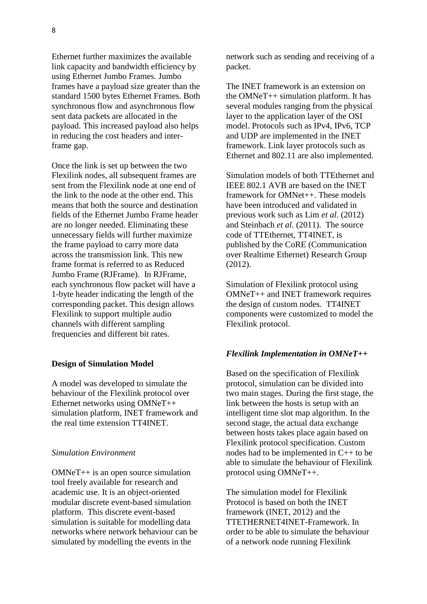Ethernet further maximizes the available link capacity and bandwidth efficiency by using Ethernet Jumbo Frames. Jumbo frames have a payload size greater than the standard 1500 bytes Ethernet Frames. Both synchronous flow and asynchronous flow sent data packets are allocated in the payload. This increased payload also helps in reducing the cost headers and inter-

Once the link is set up between the two Flexilink nodes, all subsequent frames are sent from the Flexilink node at one end of the link to the node at the other end. This means that both the source and destination fields of the Ethernet Jumbo Frame header are no longer needed. Eliminating these unnecessary fields will further maximize the frame payload to carry more data across the transmission link. This new frame format is referred to as Reduced Jumbo Frame (RJFrame). In RJFrame, each synchronous flow packet will have a 1-byte header indicating the length of the corresponding packet. This design allows Flexilink to support multiple audio channels with different sampling frequencies and different bit rates.

### **Design of Simulation Model**

A model was developed to simulate the behaviour of the Flexilink protocol over Ethernet networks using OMNeT++ simulation platform, INET framework and the real time extension TT4INET.

## *Simulation Environment*

OMNeT++ is an open source simulation tool freely available for research and academic use. It is an object-oriented modular discrete event-based simulation platform. This discrete event-based simulation is suitable for modelling data networks where network behaviour can be simulated by modelling the events in the

network such as sending and receiving of a packet.

The INET framework is an extension on the OMNeT++ simulation platform. It has several modules ranging from the physical layer to the application layer of the OSI model. Protocols such as IPv4, IPv6, TCP and UDP are implemented in the INET framework. Link layer protocols such as Ethernet and 802.11 are also implemented.

Simulation models of both TTEthernet and IEEE 802.1 AVB are based on the INET framework for OMNet++. These models have been introduced and validated in previous work such as Lim *et al*. (2012) and Steinbach *et al.* (2011). The source code of TTEthernet, TT4INET, is published by the CoRE (Communication over Realtime Ethernet) Research Group (2012).

Simulation of Flexilink protocol using OMNeT++ and INET framework requires the design of custom nodes. TT4INET components were customized to model the Flexilink protocol.

## *Flexilink Implementation in OMNeT++*

Based on the specification of Flexilink protocol, simulation can be divided into two main stages. During the first stage, the link between the hosts is setup with an intelligent time slot map algorithm. In the second stage, the actual data exchange between hosts takes place again based on Flexilink protocol specification. Custom nodes had to be implemented in C++ to be able to simulate the behaviour of Flexilink protocol using OMNeT++.

The simulation model for Flexilink Protocol is based on both the INET framework (INET, 2012) and the TTETHERNET4INET-Framework. In order to be able to simulate the behaviour of a network node running Flexilink

frame gap.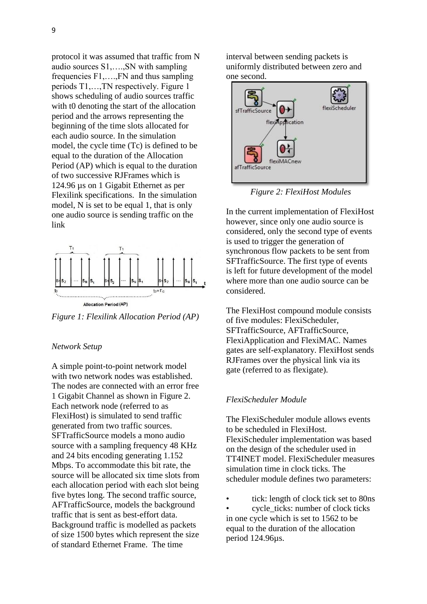protocol it was assumed that traffic from N audio sources S1,….,SN with sampling frequencies F1,….,FN and thus sampling periods T1,…,TN respectively. Figure 1 shows scheduling of audio sources traffic with t0 denoting the start of the allocation period and the arrows representing the beginning of the time slots allocated for each audio source. In the simulation model, the cycle time (Tc) is defined to be equal to the duration of the Allocation Period (AP) which is equal to the duration of two successive RJFrames which is 124.96 µs on 1 Gigabit Ethernet as per Flexilink specifications. In the simulation model, N is set to be equal 1, that is only one audio source is sending traffic on the link



*Figure 1: Flexilink Allocation Period (AP)*

### *Network Setup*

A simple point-to-point network model with two network nodes was established. The nodes are connected with an error free 1 Gigabit Channel as shown in Figure 2. Each network node (referred to as FlexiHost) is simulated to send traffic generated from two traffic sources. SFTrafficSource models a mono audio source with a sampling frequency 48 KHz and 24 bits encoding generating 1.152 Mbps. To accommodate this bit rate, the source will be allocated six time slots from each allocation period with each slot being five bytes long. The second traffic source, AFTrafficSource, models the background traffic that is sent as best-effort data. Background traffic is modelled as packets of size 1500 bytes which represent the size of standard Ethernet Frame. The time

interval between sending packets is uniformly distributed between zero and one second.



*Figure 2: FlexiHost Modules*

In the current implementation of FlexiHost however, since only one audio source is considered, only the second type of events is used to trigger the generation of synchronous flow packets to be sent from SFTrafficSource. The first type of events is left for future development of the model where more than one audio source can be considered.

The FlexiHost compound module consists of five modules: FlexiScheduler, SFTrafficSource, AFTrafficSource, FlexiApplication and FlexiMAC. Names gates are self-explanatory. FlexiHost sends RJFrames over the physical link via its gate (referred to as flexigate).

### *FlexiScheduler Module*

The FlexiScheduler module allows events to be scheduled in FlexiHost. FlexiScheduler implementation was based on the design of the scheduler used in TT4INET model. FlexiScheduler measures simulation time in clock ticks. The scheduler module defines two parameters:

tick: length of clock tick set to 80ns

cycle ticks: number of clock ticks in one cycle which is set to 1562 to be equal to the duration of the allocation period 124.96µs.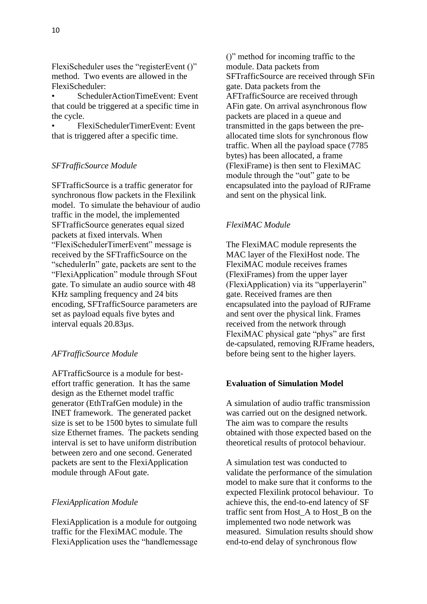FlexiScheduler uses the "registerEvent ()" method. Two events are allowed in the FlexiScheduler:

• SchedulerActionTimeEvent: Event that could be triggered at a specific time in the cycle.

• FlexiSchedulerTimerEvent: Event that is triggered after a specific time.

## *SFTrafficSource Module*

SFTrafficSource is a traffic generator for synchronous flow packets in the Flexilink model. To simulate the behaviour of audio traffic in the model, the implemented SFTrafficSource generates equal sized packets at fixed intervals. When "FlexiSchedulerTimerEvent" message is received by the SFTrafficSource on the "schedulerIn" gate, packets are sent to the "FlexiApplication" module through SFout gate. To simulate an audio source with 48 KHz sampling frequency and 24 bits encoding, SFTrafficSource parameters are set as payload equals five bytes and interval equals 20.83µs.

## *AFTrafficSource Module*

AFTrafficSource is a module for besteffort traffic generation. It has the same design as the Ethernet model traffic generator (EthTrafGen module) in the INET framework. The generated packet size is set to be 1500 bytes to simulate full size Ethernet frames. The packets sending interval is set to have uniform distribution between zero and one second. Generated packets are sent to the FlexiApplication module through AFout gate.

### *FlexiApplication Module*

FlexiApplication is a module for outgoing traffic for the FlexiMAC module. The FlexiApplication uses the "handlemessage ()" method for incoming traffic to the module. Data packets from SFTrafficSource are received through SFin gate. Data packets from the AFTrafficSource are received through AFin gate. On arrival asynchronous flow packets are placed in a queue and transmitted in the gaps between the preallocated time slots for synchronous flow traffic. When all the payload space (7785 bytes) has been allocated, a frame (FlexiFrame) is then sent to FlexiMAC module through the "out" gate to be encapsulated into the payload of RJFrame and sent on the physical link.

## *FlexiMAC Module*

The FlexiMAC module represents the MAC layer of the FlexiHost node. The FlexiMAC module receives frames (FlexiFrames) from the upper layer (FlexiApplication) via its "upperlayerin" gate. Received frames are then encapsulated into the payload of RJFrame and sent over the physical link. Frames received from the network through FlexiMAC physical gate "phys" are first de-capsulated, removing RJFrame headers, before being sent to the higher layers.

### **Evaluation of Simulation Model**

A simulation of audio traffic transmission was carried out on the designed network. The aim was to compare the results obtained with those expected based on the theoretical results of protocol behaviour.

A simulation test was conducted to validate the performance of the simulation model to make sure that it conforms to the expected Flexilink protocol behaviour. To achieve this, the end-to-end latency of SF traffic sent from Host\_A to Host\_B on the implemented two node network was measured. Simulation results should show end-to-end delay of synchronous flow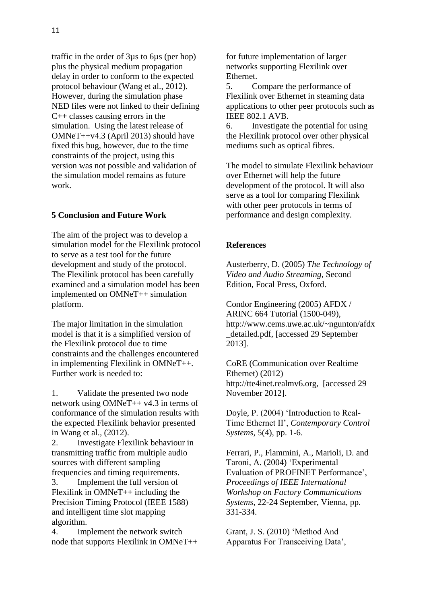traffic in the order of 3µs to 6µs (per hop) plus the physical medium propagation delay in order to conform to the expected protocol behaviour (Wang et al., 2012). However, during the simulation phase NED files were not linked to their defining C++ classes causing errors in the simulation. Using the latest release of OMNeT++v4.3 (April 2013) should have fixed this bug, however, due to the time constraints of the project, using this version was not possible and validation of the simulation model remains as future work.

## **5 Conclusion and Future Work**

The aim of the project was to develop a simulation model for the Flexilink protocol to serve as a test tool for the future development and study of the protocol. The Flexilink protocol has been carefully examined and a simulation model has been implemented on OMNeT++ simulation platform.

The major limitation in the simulation model is that it is a simplified version of the Flexilink protocol due to time constraints and the challenges encountered in implementing Flexilink in OMNeT++. Further work is needed to:

1. Validate the presented two node network using OMNeT++ v4.3 in terms of conformance of the simulation results with the expected Flexilink behavior presented in Wang et al., (2012).

2. Investigate Flexilink behaviour in transmitting traffic from multiple audio sources with different sampling frequencies and timing requirements.

3. Implement the full version of Flexilink in  $OMNeT++$  including the Precision Timing Protocol (IEEE 1588) and intelligent time slot mapping algorithm.

4. Implement the network switch node that supports Flexilink in OMNeT++

for future implementation of larger networks supporting Flexilink over Ethernet.

5. Compare the performance of Flexilink over Ethernet in steaming data applications to other peer protocols such as IEEE 802.1 AVB.

6. Investigate the potential for using the Flexilink protocol over other physical mediums such as optical fibres.

The model to simulate Flexilink behaviour over Ethernet will help the future development of the protocol. It will also serve as a tool for comparing Flexilink with other peer protocols in terms of performance and design complexity.

#### **References**

Austerberry, D. (2005) *The Technology of Video and Audio Streaming,* Second Edition, Focal Press, Oxford.

Condor Engineering (2005) AFDX / ARINC 664 Tutorial (1500-049), http://www.cems.uwe.ac.uk/~ngunton/afdx \_detailed.pdf, [accessed 29 September 2013].

CoRE (Communication over Realtime Ethernet) (2012) http://tte4inet.realmv6.org, [accessed 29 November 2012].

Doyle, P. (2004) "Introduction to Real-Time Ethernet II", *Contemporary Control Systems,* 5(4), pp. 1-6.

Ferrari, P., Flammini, A., Marioli, D. and Taroni, A. (2004) "Experimental Evaluation of PROFINET Performance", *Proceedings of IEEE International Workshop on Factory Communications Systems,* 22-24 September, Vienna, pp. 331-334.

Grant, J. S. (2010) "Method And Apparatus For Transceiving Data",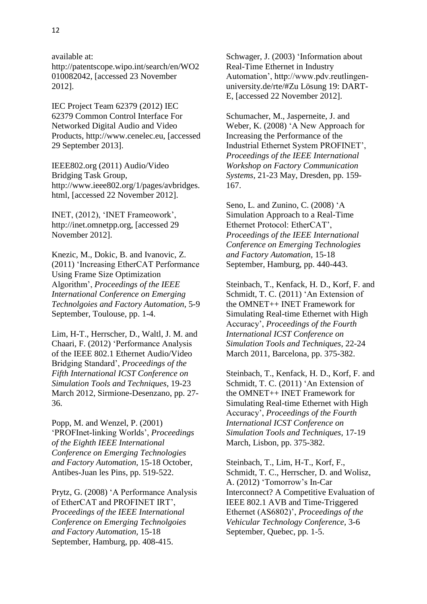available at:

http://patentscope.wipo.int/search/en/WO2 010082042, [accessed 23 November 2012].

IEC Project Team 62379 (2012) IEC 62379 Common Control Interface For Networked Digital Audio and Video Products, http://www.cenelec.eu, [accessed 29 September 2013].

IEEE802.org (2011) Audio/Video Bridging Task Group, http://www.ieee802.org/1/pages/avbridges. html, [accessed 22 November 2012].

INET, (2012), "INET Frameowork", http://inet.omnetpp.org, [accessed 29 November 2012].

Knezic, M., Dokic, B. and Ivanovic, Z. (2011) "Increasing EtherCAT Performance Using Frame Size Optimization Algorithm", *Proceedings of the IEEE International Conference on Emerging Technolgoies and Factory Automation*, 5-9 September, Toulouse, pp. 1-4.

Lim, H-T., Herrscher, D., Waltl, J. M. and Chaari, F. (2012) "Performance Analysis of the IEEE 802.1 Ethernet Audio/Video Bridging Standard", *Proceedings of the Fifth International ICST Conference on Simulation Tools and Techniques*, 19-23 March 2012, Sirmione-Desenzano, pp. 27- 36.

Popp, M. and Wenzel, P. (2001) "PROFInet-linking Worlds", *Proceedings of the Eighth IEEE International Conference on Emerging Technologies and Factory Automation,* 15-18 October, Antibes-Juan les Pins, pp. 519-522.

Prytz, G. (2008) "A Performance Analysis of EtherCAT and PROFINET IRT", *Proceedings of the IEEE International Conference on Emerging Technolgoies and Factory Automation,* 15-18 September, Hamburg, pp. 408-415.

Schwager, J. (2003) "Information about Real-Time Ethernet in Industry Automation", http://www.pdv.reutlingenuniversity.de/rte/#Zu Lösung 19: DART-E, [accessed 22 November 2012].

Schumacher, M., Jasperneite, J. and Weber, K. (2008) "A New Approach for Increasing the Performance of the Industrial Ethernet System PROFINET", *Proceedings of the IEEE International Workshop on Factory Communication Systems*, 21-23 May, Dresden, pp. 159- 167.

Seno, L. and Zunino, C. (2008) "A Simulation Approach to a Real-Time Ethernet Protocol: EtherCAT", *Proceedings of the IEEE International Conference on Emerging Technologies and Factory Automation*, 15-18 September, Hamburg, pp. 440-443.

Steinbach, T., Kenfack, H. D., Korf, F. and Schmidt, T. C. (2011) "An Extension of the OMNET++ INET Framework for Simulating Real-time Ethernet with High Accuracy", *Proceedings of the Fourth International ICST Conference on Simulation Tools and Techniques*, 22-24 March 2011, Barcelona, pp. 375-382.

Steinbach, T., Kenfack, H. D., Korf, F. and Schmidt, T. C. (2011) 'An Extension of the OMNET++ INET Framework for Simulating Real-time Ethernet with High Accuracy", *Proceedings of the Fourth International ICST Conference on Simulation Tools and Techniques*, 17-19 March, Lisbon, pp. 375-382.

Steinbach, T., Lim, H-T., Korf, F., Schmidt, T. C., Herrscher, D. and Wolisz, A. (2012) "Tomorrow"s In-Car Interconnect? A Competitive Evaluation of IEEE 802.1 AVB and Time-Triggered Ethernet (AS6802)", *Proceedings of the Vehicular Technology Conference*, 3-6 September, Quebec, pp. 1-5.